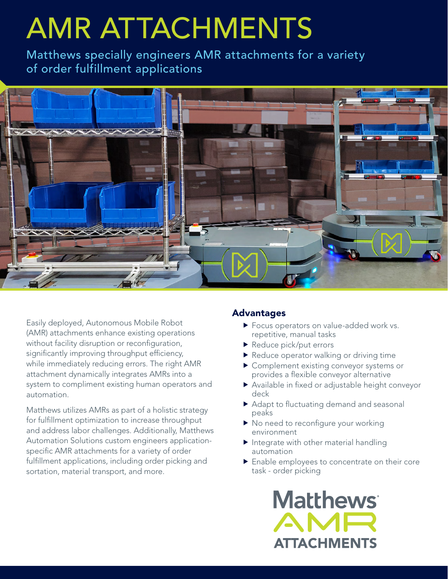# AMR ATTACHMENTS

Matthews specially engineers AMR attachments for a variety of order fulfillment applications



Easily deployed, Autonomous Mobile Robot (AMR) attachments enhance existing operations without facility disruption or reconfiguration, significantly improving throughput efficiency, while immediately reducing errors. The right AMR attachment dynamically integrates AMRs into a system to compliment existing human operators and automation.

Matthews utilizes AMRs as part of a holistic strategy for fulfillment optimization to increase throughput and address labor challenges. Additionally, Matthews Automation Solutions custom engineers applicationspecific AMR attachments for a variety of order fulfillment applications, including order picking and sortation, material transport, and more.

#### Advantages

- Focus operators on value-added work vs. repetitive, manual tasks
- Reduce pick/put errors
- Reduce operator walking or driving time
- **F** Complement existing conveyor systems or provides a flexible conveyor alternative
- Available in fixed or adjustable height conveyor deck
- Adapt to fluctuating demand and seasonal peaks
- $\blacktriangleright$  No need to reconfigure your working environment
- $\blacktriangleright$  Integrate with other material handling automation
- **Finable employees to concentrate on their core** task - order picking